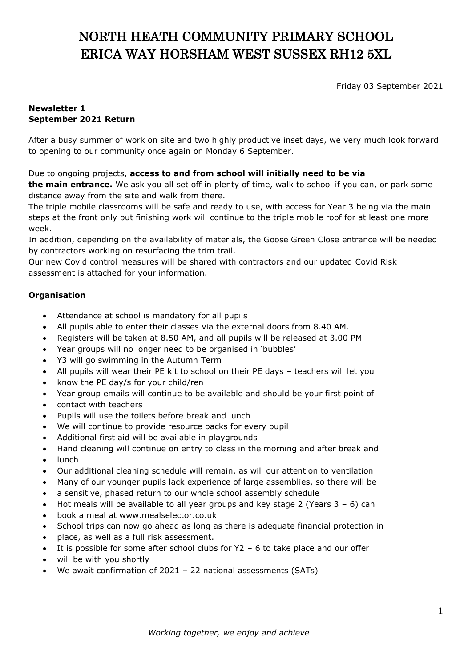# NORTH HEATH COMMUNITY PRIMARY SCHOOL ERICA WAY HORSHAM WEST SUSSEX RH12 5XL

Friday 03 September 2021

### **Newsletter 1 September 2021 Return**

After a busy summer of work on site and two highly productive inset days, we very much look forward to opening to our community once again on Monday 6 September.

## Due to ongoing projects, **access to and from school will initially need to be via**

**the main entrance.** We ask you all set off in plenty of time, walk to school if you can, or park some distance away from the site and walk from there.

The triple mobile classrooms will be safe and ready to use, with access for Year 3 being via the main steps at the front only but finishing work will continue to the triple mobile roof for at least one more week.

In addition, depending on the availability of materials, the Goose Green Close entrance will be needed by contractors working on resurfacing the trim trail.

Our new Covid control measures will be shared with contractors and our updated Covid Risk assessment is attached for your information.

## **Organisation**

- Attendance at school is mandatory for all pupils
- All pupils able to enter their classes via the external doors from 8.40 AM.
- Registers will be taken at 8.50 AM, and all pupils will be released at 3.00 PM
- Year groups will no longer need to be organised in 'bubbles'
- Y3 will go swimming in the Autumn Term
- All pupils will wear their PE kit to school on their PE days teachers will let you
- know the PE day/s for your child/ren
- Year group emails will continue to be available and should be your first point of
- contact with teachers
- Pupils will use the toilets before break and lunch
- We will continue to provide resource packs for every pupil
- Additional first aid will be available in playgrounds
- Hand cleaning will continue on entry to class in the morning and after break and lunch
- Our additional cleaning schedule will remain, as will our attention to ventilation
- Many of our younger pupils lack experience of large assemblies, so there will be
- a sensitive, phased return to our whole school assembly schedule
- Hot meals will be available to all year groups and key stage 2 (Years  $3 6$ ) can
- book a meal at www.mealselector.co.uk
- School trips can now go ahead as long as there is adequate financial protection in
- place, as well as a full risk assessment.
- It is possible for some after school clubs for Y2 6 to take place and our offer
- will be with you shortly
- We await confirmation of 2021 22 national assessments (SATs)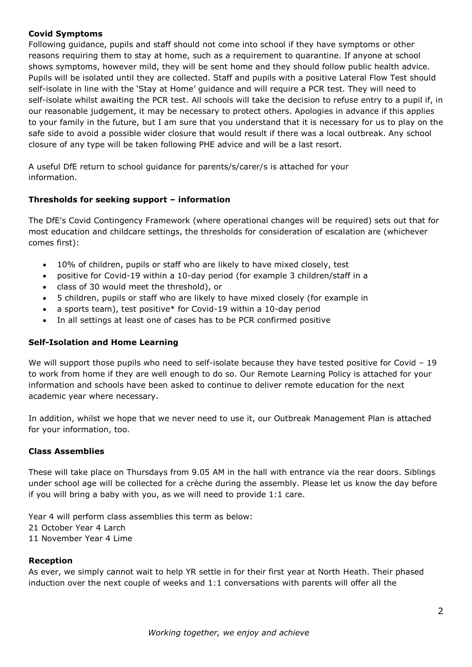#### **Covid Symptoms**

Following guidance, pupils and staff should not come into school if they have symptoms or other reasons requiring them to stay at home, such as a requirement to quarantine. If anyone at school shows symptoms, however mild, they will be sent home and they should follow public health advice. Pupils will be isolated until they are collected. Staff and pupils with a positive Lateral Flow Test should self-isolate in line with the 'Stay at Home' guidance and will require a PCR test. They will need to self-isolate whilst awaiting the PCR test. All schools will take the decision to refuse entry to a pupil if, in our reasonable judgement, it may be necessary to protect others. Apologies in advance if this applies to your family in the future, but I am sure that you understand that it is necessary for us to play on the safe side to avoid a possible wider closure that would result if there was a local outbreak. Any school closure of any type will be taken following PHE advice and will be a last resort.

A useful DfE return to school guidance for parents/s/carer/s is attached for your information.

## **Thresholds for seeking support – information**

The DfE's Covid Contingency Framework (where operational changes will be required) sets out that for most education and childcare settings, the thresholds for consideration of escalation are (whichever comes first):

- 10% of children, pupils or staff who are likely to have mixed closely, test
- positive for Covid-19 within a 10-day period (for example 3 children/staff in a
- class of 30 would meet the threshold), or
- 5 children, pupils or staff who are likely to have mixed closely (for example in
- a sports team), test positive\* for Covid-19 within a 10-day period
- In all settings at least one of cases has to be PCR confirmed positive

#### **Self-Isolation and Home Learning**

We will support those pupils who need to self-isolate because they have tested positive for Covid - 19 to work from home if they are well enough to do so. Our Remote Learning Policy is attached for your information and schools have been asked to continue to deliver remote education for the next academic year where necessary.

In addition, whilst we hope that we never need to use it, our Outbreak Management Plan is attached for your information, too.

#### **Class Assemblies**

These will take place on Thursdays from 9.05 AM in the hall with entrance via the rear doors. Siblings under school age will be collected for a crèche during the assembly. Please let us know the day before if you will bring a baby with you, as we will need to provide 1:1 care.

Year 4 will perform class assemblies this term as below: 21 October Year 4 Larch 11 November Year 4 Lime

#### **Reception**

As ever, we simply cannot wait to help YR settle in for their first year at North Heath. Their phased induction over the next couple of weeks and 1:1 conversations with parents will offer all the